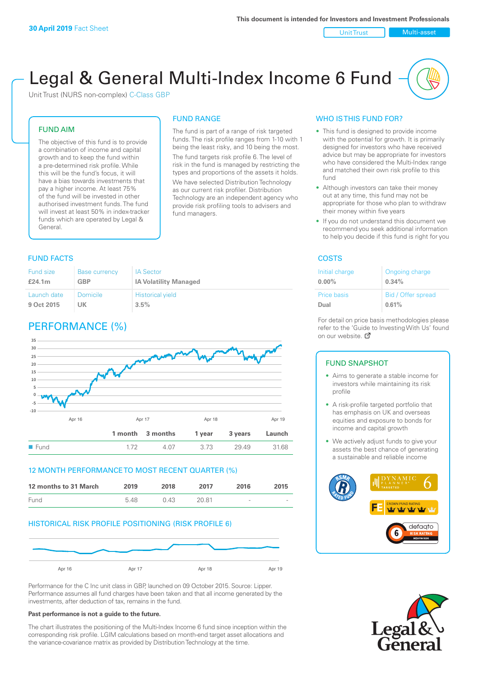Unit Trust Nulti-asset

# Legal & General Multi-Index Income 6 Fund

Unit Trust (NURS non-complex) C-Class GBP

#### FUND AIM

The objective of this fund is to provide a combination of income and capital growth and to keep the fund within a pre-determined risk profile. While this will be the fund's focus, it will have a bias towards investments that pay a higher income. At least 75% of the fund will be invested in other authorised investment funds. The fund will invest at least 50% in index-tracker funds which are operated by Legal & General.

## FUND RANGE

The fund is part of a range of risk targeted funds. The risk profile ranges from 1-10 with 1 being the least risky, and 10 being the most. The fund targets risk profile 6. The level of risk in the fund is managed by restricting the

types and proportions of the assets it holds. We have selected Distribution Technology as our current risk profiler. Distribution Technology are an independent agency who provide risk profiling tools to advisers and fund managers.

#### **FUND FACTS** COSTS

| Fund size   | <b>Base currency</b> | <b>IA Sector</b>             |
|-------------|----------------------|------------------------------|
| £24.1m      | <b>GBP</b>           | <b>IA Volatility Managed</b> |
| Launch date | Domicile             | <b>Historical yield</b>      |
| 9 Oct 2015  | UK                   | 3.5%                         |

### PERFORMANCE (%)



#### 12 MONTH PERFORMANCE TO MOST RECENT QUARTER (%)



#### HISTORICAL RISK PROFILE POSITIONING (RISK PROFILE 6)



Performance for the C Inc unit class in GBP, launched on 09 October 2015. Source: Lipper. Performance assumes all fund charges have been taken and that all income generated by the investments, after deduction of tax, remains in the fund.

#### **Past performance is not a guide to the future.**

The chart illustrates the positioning of the Multi-Index Income 6 fund since inception within the corresponding risk profile. LGIM calculations based on month-end target asset allocations and the variance-covariance matrix as provided by Distribution Technology at the time.

#### WHO IS THIS FUND FOR?

- This fund is designed to provide income with the potential for growth. It is primarily designed for investors who have received advice but may be appropriate for investors who have considered the Multi-Index range and matched their own risk profile to this fund
- Although investors can take their money out at any time, this fund may not be appropriate for those who plan to withdraw their money within five years
- If you do not understand this document we recommend you seek additional information to help you decide if this fund is right for you

| Initial charge     | Ongoing charge     |
|--------------------|--------------------|
| $0.00\%$           | 0.34%              |
| <b>Price basis</b> | Bid / Offer spread |
| Dual               | 0.61%              |

For detail on price basis methodologies please refer to the 'Gu[ide t](http://www.legalandgeneral.com/guide)o Investing With Us' found on our website. Ø

#### FUND SNAPSHOT

- Aims to generate a stable income for investors while maintaining its risk profile
- A risk-profile targeted portfolio that has emphasis on UK and overseas equities and exposure to bonds for income and capital growth
- We actively adjust funds to give your assets the best chance of generating a sustainable and reliable income



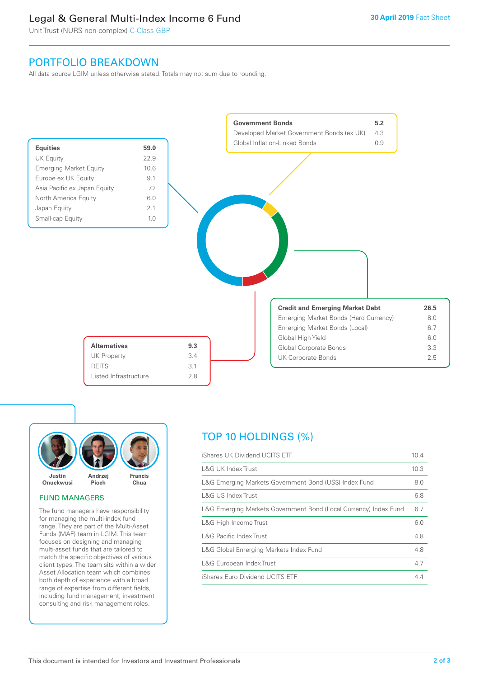### Legal & General Multi-Index Income 6 Fund

Unit Trust (NURS non-complex) C-Class GBP

### PORTFOLIO BREAKDOWN

All data source LGIM unless otherwise stated. Totals may not sum due to rounding.





#### FUND MANAGERS

The fund managers have responsibility for managing the multi-index fund range. They are part of the Multi-Asset Funds (MAF) team in LGIM. This team focuses on designing and managing multi-asset funds that are tailored to match the specific objectives of various client types. The team sits within a wider Asset Allocation team which combines both depth of experience with a broad range of expertise from different fields, including fund management, investment consulting and risk management roles.

### TOP 10 HOLDINGS (%)

| iShares UK Dividend UCITS ETF                                    | 10.4 |
|------------------------------------------------------------------|------|
| <b>L&amp;G UK Index Trust</b>                                    | 10.3 |
| L&G Emerging Markets Government Bond (US\$) Index Fund           | 8.0  |
| L&G US Index Trust                                               | 6.8  |
| L&G Emerging Markets Government Bond (Local Currency) Index Fund | 6.7  |
| L&G High Income Trust                                            | 6.0  |
| <b>L&amp;G Pacific Index Trust</b>                               | 4.8  |
| L&G Global Emerging Markets Index Fund                           | 4.8  |
| L&G European Index Trust                                         | 4.7  |
| iShares Euro Dividend UCITS ETF                                  | 44   |